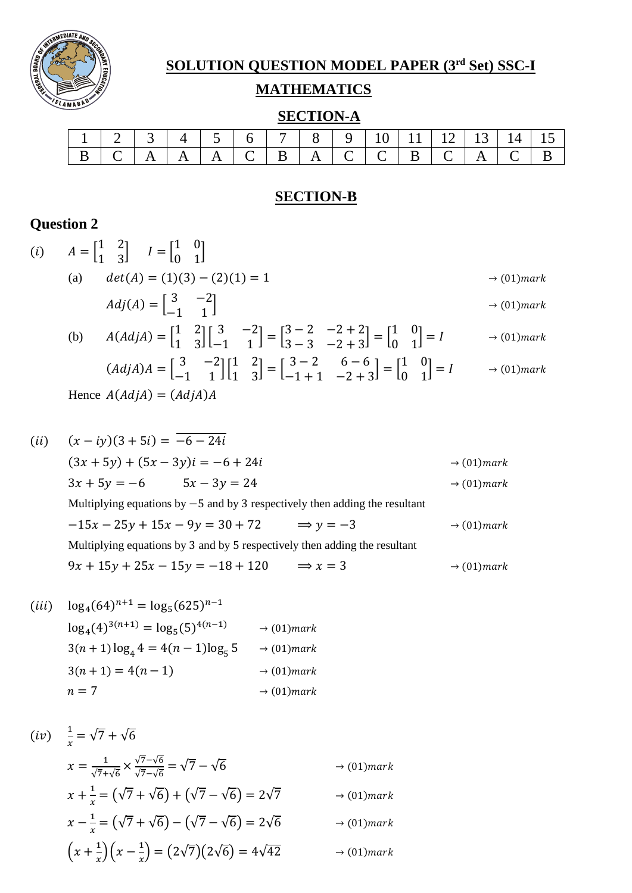

# **SOLUTION QUESTION MODEL PAPER (3rd Set) SSC-I**

#### **MATHEMATICS**

## **SECTION-A**

|                                                                                                       | 1   2   3   4   5   6   7   8   9   10   11   12   13   14   15 |  |  |  |  |  |  |  |
|-------------------------------------------------------------------------------------------------------|-----------------------------------------------------------------|--|--|--|--|--|--|--|
| $B \mid C \mid A \mid A \mid A \mid C \mid B \mid A \mid C \mid C \mid B \mid C \mid A \mid C \mid B$ |                                                                 |  |  |  |  |  |  |  |

#### **SECTION-B**

## **Question 2**

|      | ( <i>i</i> ) $A = \begin{bmatrix} 1 & 2 \\ 1 & 3 \end{bmatrix}$ $I = \begin{bmatrix} 1 & 0 \\ 0 & 1 \end{bmatrix}$                                                                                                       |                         |
|------|--------------------------------------------------------------------------------------------------------------------------------------------------------------------------------------------------------------------------|-------------------------|
|      | $det(A) = (1)(3) - (2)(1) = 1$<br>(a)                                                                                                                                                                                    | $\rightarrow$ (01) mark |
|      | $Adj(A) = \begin{bmatrix} 3 & -2 \\ -1 & 1 \end{bmatrix}$                                                                                                                                                                | $\rightarrow$ (01) mark |
|      | (b) $A(Adj A) = \begin{bmatrix} 1 & 2 \\ 1 & 3 \end{bmatrix} \begin{bmatrix} 3 & -2 \\ -1 & 1 \end{bmatrix} = \begin{bmatrix} 3-2 & -2+2 \\ 3-3 & -2+3 \end{bmatrix} = \begin{bmatrix} 1 & 0 \\ 0 & 1 \end{bmatrix} = I$ | $\rightarrow$ (01) mark |
|      | $(Adj A)A = \begin{bmatrix} 3 & -2 \\ -1 & 1 \end{bmatrix} \begin{bmatrix} 1 & 2 \\ 1 & 3 \end{bmatrix} = \begin{bmatrix} 3-2 & 6-6 \\ -1+1 & -2+3 \end{bmatrix} = \begin{bmatrix} 1 & 0 \\ 0 & 1 \end{bmatrix} = I$     | $\rightarrow$ (01)mark  |
|      | Hence $A(Adj A) = (Adj A)A$                                                                                                                                                                                              |                         |
|      |                                                                                                                                                                                                                          |                         |
| (ii) | $(x - iy)(3 + 5i) = -6 - 24i$                                                                                                                                                                                            |                         |
|      | $(3x + 5y) + (5x - 3y)i = -6 + 24i$                                                                                                                                                                                      | $\rightarrow$ (01) mark |
|      | $3x + 5y = -6$ $5x - 3y = 24$                                                                                                                                                                                            | $\rightarrow$ (01) mark |
|      | Multiplying equations by $-5$ and by 3 respectively then adding the resultant                                                                                                                                            |                         |
|      | $-15x - 25y + 15x - 9y = 30 + 72$ $\implies y = -3$                                                                                                                                                                      | $\rightarrow$ (01) mark |
|      | Multiplying equations by 3 and by 5 respectively then adding the resultant                                                                                                                                               |                         |
|      | $9x + 15y + 25x - 15y = -18 + 120$ $\implies x = 3$                                                                                                                                                                      | $\rightarrow$ (01) mark |

$$
(iii) \quad \log_4(64)^{n+1} = \log_5(625)^{n-1}
$$
\n
$$
\log_4(4)^{3(n+1)} = \log_5(5)^{4(n-1)} \rightarrow (01)mark
$$
\n
$$
3(n+1)\log_4 4 = 4(n-1)\log_5 5 \rightarrow (01)mark
$$
\n
$$
3(n+1) = 4(n-1) \rightarrow (01)mark
$$
\n
$$
n = 7 \rightarrow (01)mark
$$

$$
(iv) \quad \frac{1}{x} = \sqrt{7} + \sqrt{6}
$$
\n
$$
x = \frac{1}{\sqrt{7} + \sqrt{6}} \times \frac{\sqrt{7} - \sqrt{6}}{\sqrt{7} - \sqrt{6}} = \sqrt{7} - \sqrt{6}
$$
\n
$$
\rightarrow (01) mark
$$
\n
$$
x + \frac{1}{x} = (\sqrt{7} + \sqrt{6}) + (\sqrt{7} - \sqrt{6}) = 2\sqrt{7} \rightarrow (01) mark
$$
\n
$$
x - \frac{1}{x} = (\sqrt{7} + \sqrt{6}) - (\sqrt{7} - \sqrt{6}) = 2\sqrt{6} \rightarrow (01) mark
$$
\n
$$
(x + \frac{1}{x})(x - \frac{1}{x}) = (2\sqrt{7})(2\sqrt{6}) = 4\sqrt{42} \rightarrow (01) mark
$$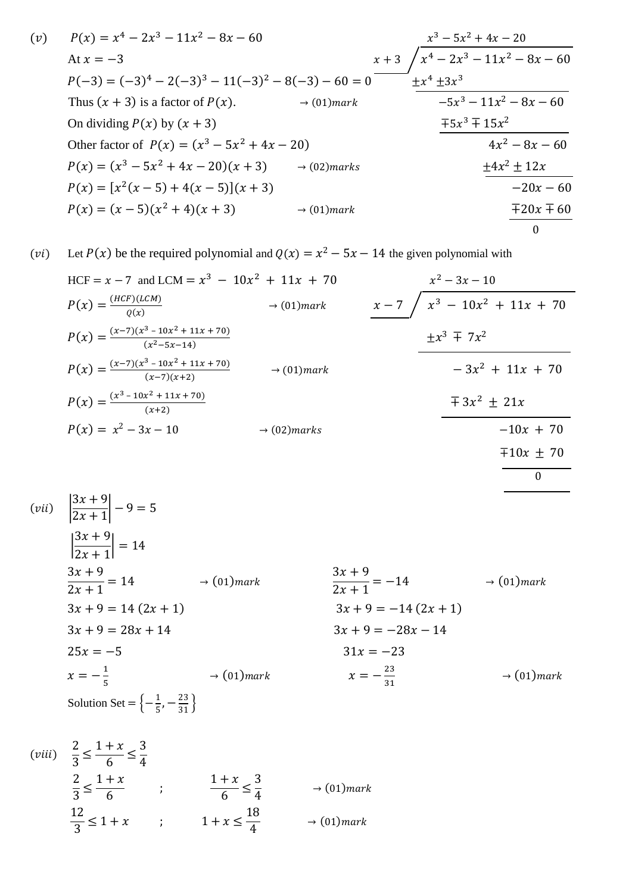$$
(v) \quad P(x) = x^4 - 2x^3 - 11x^2 - 8x - 60
$$
  
\nAt  $x = -3$   
\n
$$
P(-3) = (-3)^4 - 2(-3)^3 - 11(-3)^2 - 8(-3) - 60 = 0
$$
  
\n
$$
P(-3) = (-3)^4 - 2(-3)^3 - 11(-3)^2 - 8(-3) - 60 = 0
$$
  
\n
$$
P(x) = (-3)^4 - 2(-3)^3 - 11(-3)^2 - 8(-3) - 60 = 0
$$
  
\n
$$
P(x) = (-3)^4 - 2(-3)^3 - 11(-3)^2 - 8(-3) - 60 = 0
$$
  
\n
$$
P(x) = -5x^3 - 11x^2 - 8x - 60
$$
  
\nOn dividing  $P(x)$  by  $(x + 3)$   
\n
$$
= 5x^3 + 15x^2
$$
  
\n
$$
P(x) = (x^3 - 5x^2 + 4x - 20)(x + 3)
$$
  
\n
$$
P(x) = (x^3 - 5x^2 + 4x - 20)(x + 3)
$$
  
\n
$$
P(x) = [x^2(x - 5) + 4(x - 5)](x + 3)
$$
  
\n
$$
P(x) = (x - 5)(x^2 + 4)(x + 3)
$$
  
\n
$$
P(x) = (x - 5)(x^2 + 4)(x + 3)
$$
  
\n
$$
P(x) = (x - 5)(x^2 + 4)(x + 3)
$$
  
\n
$$
P(x) = (x - 5)(x^2 + 4)(x + 3)
$$
  
\n
$$
P(x) = (x - 5)(x^2 + 4)(x + 3)
$$
  
\n
$$
P(x) = (x - 5)(x^2 + 4)(x + 3)
$$
  
\n
$$
P(x) = (x - 5)(x^2 + 4)(x + 3)
$$
  
\n
$$
P(x) = (x - 5)(x^2 + 4)(x + 3)
$$
  
\n
$$
P(x) = (x - 5)(x^2 + 4)(x + 3)
$$
  
\n
$$
P(x) = (x - 5)(
$$

(*vi*) Let  $P(x)$  be the required polynomial and  $Q(x) = x^2 - 5x - 14$  the given polynomial with

$$
HCF = x - 7 \text{ and } LCM = x^3 - 10x^2 + 11x + 70
$$
\n
$$
P(x) = \frac{(HCF)(LCM)}{Q(x)}
$$
\n
$$
P(x) = \frac{(x-7)(x^3 - 10x^2 + 11x + 70)}{(x^2 - 5x - 14)}
$$
\n
$$
P(x) = \frac{(x-7)(x^3 - 10x^2 + 11x + 70)}{(x-7)(x+2)}
$$
\n
$$
P(x) = \frac{(x^3 - 10x^2 + 11x + 70)}{(x+2)}
$$
\n
$$
P(x) = \frac{(x^3 - 10x^2 + 11x + 70)}{(x+2)}
$$
\n
$$
P(x) = x^2 - 3x - 10
$$
\n
$$
P(x) = x^2 - 3x - 10
$$
\n
$$
P(x) = x^2 - 3x - 10
$$
\n
$$
P(x) = x^2 - 3x - 10
$$
\n
$$
P(x) = x^2 - 3x - 10
$$
\n
$$
P(x) = x^2 - 3x - 10
$$
\n
$$
P(x) = x^2 - 3x - 10
$$
\n
$$
P(x) = x^2 - 3x - 10
$$
\n
$$
P(x) = x^2 - 3x - 10
$$
\n
$$
P(x) = x^2 - 3x - 10
$$
\n
$$
P(x) = x^2 - 3x - 10
$$
\n
$$
P(x) = x^2 - 3x - 10
$$
\n
$$
P(x) = x^2 - 3x - 10
$$
\n
$$
P(x) = x^2 - 3x - 10
$$
\n
$$
P(x) = x^2 - 3x - 10
$$
\n
$$
P(x) = x^2 - 3x - 10
$$
\n
$$
P(x) = x^2 - 3x - 10
$$
\n
$$
P(x) = x^2 - 3x - 10
$$
\n
$$
P(x) = x^2 - 3x - 10
$$
\n
$$
P(x) = x^2 - 3x - 10
$$
\n
$$
P(x) =
$$

0

$$
(vii) \quad \left| \frac{3x+9}{2x+1} \right| - 9 = 5
$$
\n
$$
\left| \frac{3x+9}{2x+1} \right| = 14
$$
\n
$$
\frac{3x+9}{2x+1} = 14 \qquad \to (01) mark
$$
\n
$$
3x+9 = 14 (2x + 1)
$$
\n
$$
3x+9 = 28x + 14
$$
\n
$$
25x = -5
$$
\n
$$
x = -\frac{1}{5}
$$
\n
$$
3x+9 = -28x - 14
$$
\n
$$
31x = -23
$$
\n
$$
x = -\frac{23}{31}
$$
\n
$$
32x+9 = -28x - 14
$$
\n
$$
x = -\frac{23}{31}
$$
\n
$$
31x = -23
$$
\n
$$
x = -\frac{23}{31}
$$
\n
$$
401) mark
$$
\n
$$
x = -\frac{23}{31}
$$
\n
$$
401) mark
$$
\n
$$
x = -\frac{23}{31}
$$
\n
$$
401) mark
$$
\n
$$
x = -\frac{23}{31}
$$
\n
$$
401) mark
$$

$$
(viii) \frac{2}{3} \le \frac{1+x}{6} \le \frac{3}{4}
$$
  

$$
\frac{2}{3} \le \frac{1+x}{6} \qquad ; \qquad \frac{1+x}{6} \le \frac{3}{4} \qquad \to (01) mark
$$
  

$$
\frac{12}{3} \le 1+x \qquad ; \qquad 1+x \le \frac{18}{4} \qquad \to (01) mark
$$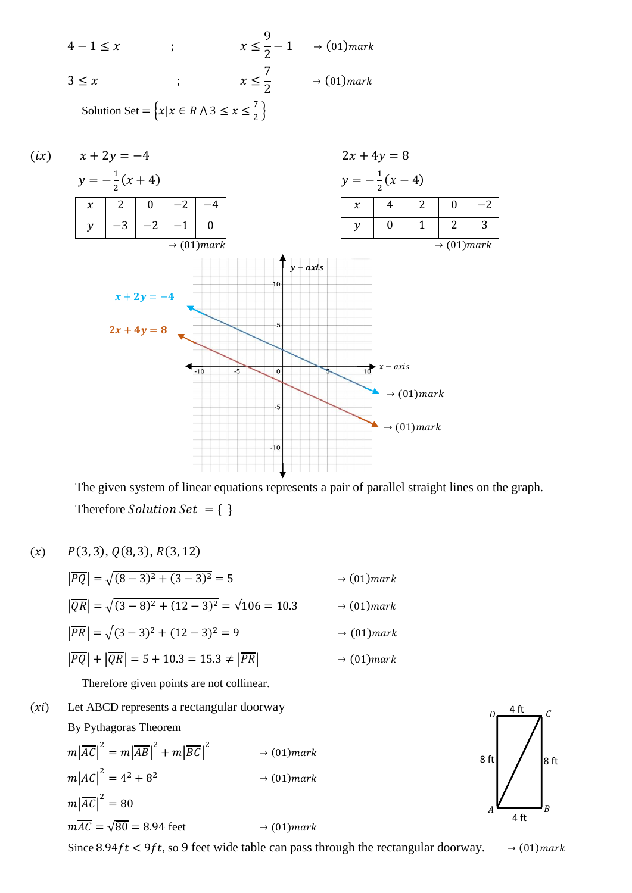$4-1 \leq x$  ;  $x \leq$ 9 2  $-1 \rightarrow (01)$ mark  $3 \leq x$  ;  $x \leq$ 7 2  $\rightarrow$  (01) mark Solution Set =  $\{x | x \in R \land 3 \le x \le \frac{7}{2}\}$  $\frac{7}{2}$ }



The given system of linear equations represents a pair of parallel straight lines on the graph. Therefore Solution Set =  $\{ \}$ 

 $(x)$   $P(3, 3), Q(8, 3), R(3, 12)$ 

$$
|\overline{PQ}| = \sqrt{(8-3)^2 + (3-3)^2} = 5 \qquad \to (01) mark
$$
  

$$
|\overline{QR}| = \sqrt{(3-8)^2 + (12-3)^2} = \sqrt{106} = 10.3 \qquad \to (01) mark
$$
  

$$
|\overline{PR}| = \sqrt{(3-3)^2 + (12-3)^2} = 9 \qquad \to (01) mark
$$
  

$$
|\overline{PQ}| + |\overline{QR}| = 5 + 10.3 = 15.3 \neq |\overline{PR}| \qquad \to (01) mark
$$

Therefore given points are not collinear.

 $(xi)$  Let ABCD represents a rectangular doorway By Pythagoras Theorem

$$
m|\overline{AC}|^2 = m|\overline{AB}|^2 + m|\overline{BC}|^2 \longrightarrow (01)mark
$$
  
\n
$$
m|\overline{AC}|^2 = 4^2 + 8^2 \longrightarrow (01)mark
$$
  
\n
$$
m|\overline{AC}|^2 = 80
$$
  
\n
$$
m\overline{AC} = \sqrt{80} = 8.94 \text{ feet} \longrightarrow (01)mark
$$

Since 8.94 $ft < 9ft$ , so 9 feet wide table can pass through the rectangular doorway.  $\rightarrow (01)$  mark

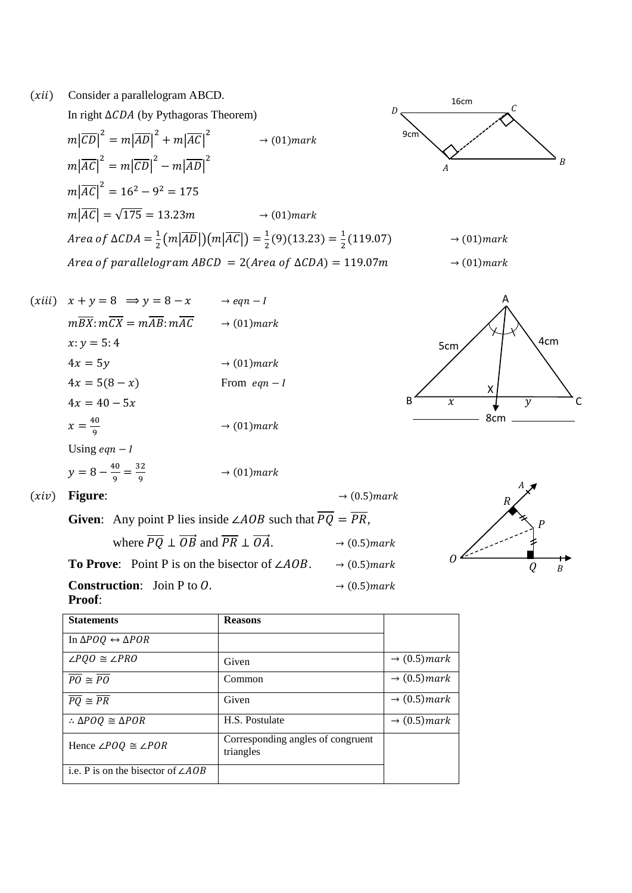









 $(xiv)$  **Figure**:  $\rightarrow$  (0.5) mark

| <b>Given:</b> Any point P lies inside $\angle AOB$ such that $PQ = PR$ ,                        |                          |  |  |  |
|-------------------------------------------------------------------------------------------------|--------------------------|--|--|--|
| where $\overline{PQ} \perp \overrightarrow{OB}$ and $\overline{PR} \perp \overrightarrow{OA}$ . | $\rightarrow$ (0.5) mark |  |  |  |
| <b>To Prove:</b> Point P is on the bisector of $\angle AOB$ .                                   | $\rightarrow$ (0.5) mark |  |  |  |
| <b>Construction:</b> Join P to $0$ .<br>$\rightarrow$ (0.5) mark<br><b>Proof:</b>               |                          |  |  |  |



| <b>Statements</b>                              | <b>Reasons</b>                                 |                          |
|------------------------------------------------|------------------------------------------------|--------------------------|
| In $\Delta POQ \leftrightarrow \Delta POR$     |                                                |                          |
| $\angle POQ \cong \angle PRO$                  | Given                                          | $\rightarrow$ (0.5) mark |
| $\overline{PO} \cong \overline{PO}$            | Common                                         | $\rightarrow$ (0.5) mark |
| $\overline{PQ} \cong \overline{PR}$            | Given                                          | $\rightarrow$ (0.5) mark |
| $\therefore \triangle POQ \cong \triangle POR$ | H.S. Postulate                                 | $\rightarrow$ (0.5) mark |
| Hence $\angle POQ \cong \angle POR$            | Corresponding angles of congruent<br>triangles |                          |
| i.e. P is on the bisector of $\angle AOB$      |                                                |                          |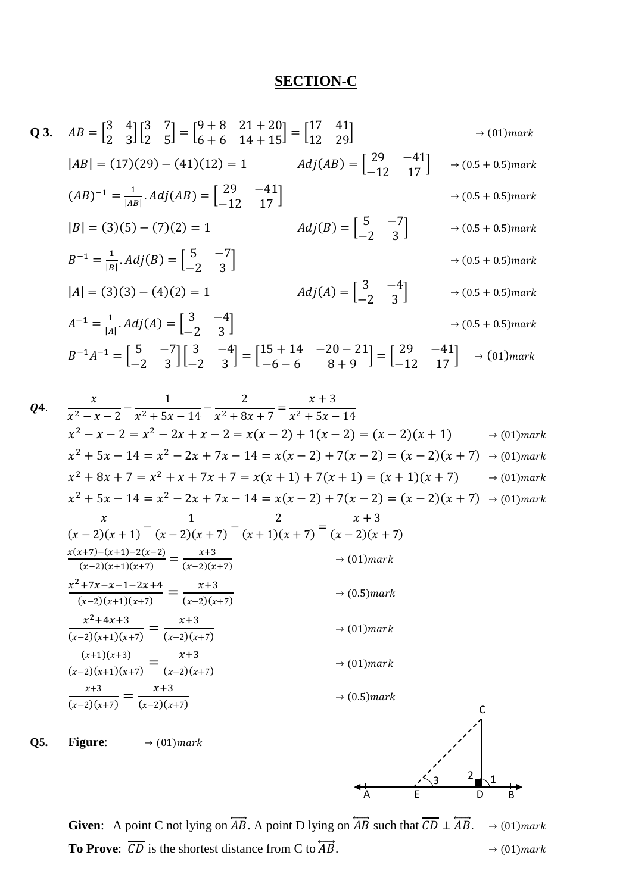## **SECTION-C**

Q3. 
$$
AB = \begin{bmatrix} 3 & 4 \\ 2 & 3 \end{bmatrix} \begin{bmatrix} 3 & 7 \\ 2 & 5 \end{bmatrix} = \begin{bmatrix} 9+8 & 21+20 \\ 6+6 & 14+15 \end{bmatrix} = \begin{bmatrix} 17 & 41 \\ 12 & 29 \end{bmatrix}
$$
 → (01) mark  
\n
$$
|AB| = (17)(29) - (41)(12) = 1
$$
\n
$$
Adj(AB) = \begin{bmatrix} 29 & -41 \\ -12 & 17 \end{bmatrix}
$$
\n
$$
|B| = (3)(5) - (7)(2) = 1
$$
\n
$$
B^{-1} = \frac{1}{|B|}.Adj(B) = \begin{bmatrix} 5 & -7 \\ -2 & 3 \end{bmatrix}
$$
\n
$$
|A| = (3)(3) - (4)(2) = 1
$$
\n
$$
A^{-1} = \frac{1}{|A|}.Adj(A) = \begin{bmatrix} 3 & -4 \\ -2 & 3 \end{bmatrix}
$$
\n
$$
A^{-1} = \begin{bmatrix} 5 & -7 \\ -2 & 3 \end{bmatrix}
$$
\n
$$
A^{-1} = \begin{bmatrix} 5 & -7 \\ -2 & 3 \end{bmatrix}
$$
\n
$$
A^{-1} = \begin{bmatrix} 5 & -7 \\ -2 & 3 \end{bmatrix} \begin{bmatrix} 3 & -4 \\ -6 & 6 \end{bmatrix}
$$
\n
$$
A^{-1} = \begin{bmatrix} 5 & -7 \\ -2 & 3 \end{bmatrix} \begin{bmatrix} 3 & -4 \\ -6 & 6 \end{bmatrix} = \begin{bmatrix} 15+14 & -20-21 \\ -6-6 & 8+9 \end{bmatrix} = \begin{bmatrix} 29 & -41 \\ -12 & 17 \end{bmatrix}
$$
\n
$$
A(11) = (3)(3) - (4)(2) = 1
$$
\n
$$
A^{-1} = \begin{bmatrix} 5 & -7 \\ -2 & 3 \end{bmatrix} \begin{bmatrix} 3 & -4 \\ -2 & 3 \end{bmatrix}
$$
\n
$$
A^{-1} = \begin{bmatrix} 5 & -7 \\ -2 & 3 \end{bmatrix} \begin{bmatrix} 3 & -4 \\ -6 & 6 \end{bmatrix} =
$$

Q4. 
$$
\frac{x}{x^2 - x - 2} - \frac{1}{x^2 + 5x - 14} - \frac{2}{x^2 + 8x + 7} = \frac{x + 3}{x^2 + 5x - 14}
$$
  
\n
$$
x^2 - x - 2 = x^2 - 2x + x - 2 = x(x - 2) + 1(x - 2) = (x - 2)(x + 1) \rightarrow (01) mark
$$
  
\n
$$
x^2 + 5x - 14 = x^2 - 2x + 7x - 14 = x(x - 2) + 7(x - 2) = (x - 2)(x + 7) \rightarrow (01) mark
$$
  
\n
$$
x^2 + 8x + 7 = x^2 + x + 7x + 7 = x(x + 1) + 7(x + 1) = (x + 1)(x + 7) \rightarrow (01) mark
$$
  
\n
$$
x^2 + 5x - 14 = x^2 - 2x + 7x - 14 = x(x - 2) + 7(x - 2) = (x - 2)(x + 7) \rightarrow (01) mark
$$
  
\n
$$
\frac{x}{(x - 2)(x + 1)} - \frac{1}{(x - 2)(x + 7)} - \frac{2}{(x + 1)(x + 7)} = \frac{x + 3}{(x - 2)(x + 7)}
$$
  
\n
$$
\frac{x(x+7) - (x+1) - 2(x-2)}{(x-2)(x+1)(x+7)} = \frac{x+3}{(x-2)(x+7)} \rightarrow (01) mark
$$
  
\n
$$
\frac{x^2 + 7x - x - 1 - 2x + 4}{(x-2)(x+1)(x+7)} = \frac{x+3}{(x-2)(x+7)} \rightarrow (0.5) mark
$$
  
\n
$$
\frac{x^2 + 4x + 3}{(x-2)(x+1)(x+7)} = \frac{x+3}{(x-2)(x+7)} \rightarrow (01) mark
$$
  
\nQ5. Figure: → (01) mark  
\nQ6.

**Given:** A point C not lying on  $\overleftrightarrow{AB}$ . A point D lying on  $\overleftrightarrow{AB}$  such that  $\overrightarrow{CD} \perp \overleftrightarrow{AB}$ .  $\rightarrow (01)$  mark **To Prove:**  $\overline{CD}$  is the shortest distance from C to  $\overrightarrow{AB}$ .  $\rightarrow$  (01) mark

A E D B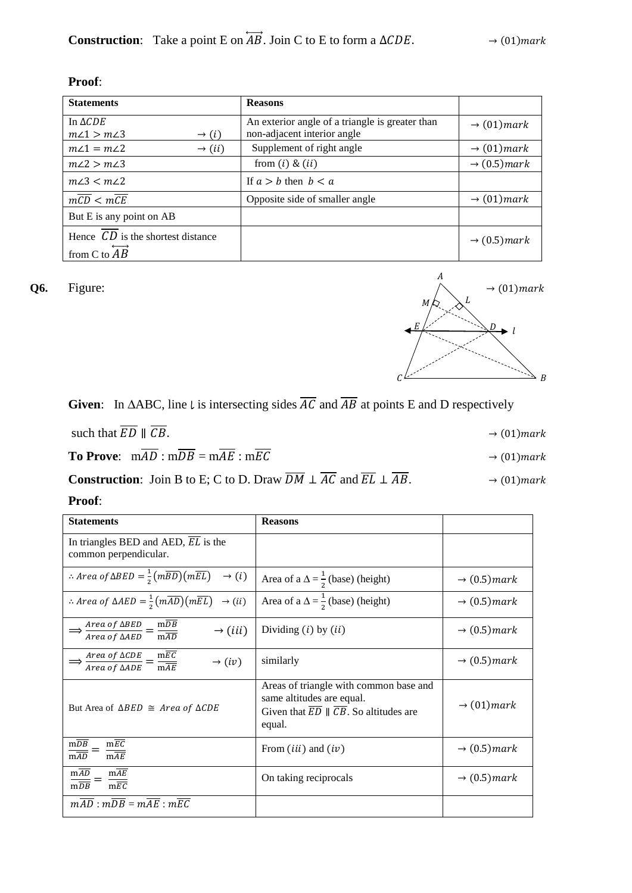| т |  |
|---|--|
|   |  |

| <b>Statements</b>                                                      | <b>Reasons</b>                                                                 |                                 |
|------------------------------------------------------------------------|--------------------------------------------------------------------------------|---------------------------------|
| In $\triangle CDE$<br>$m\angle 1 > m\angle 3$<br>$\rightarrow (i)$     | An exterior angle of a triangle is greater than<br>non-adjacent interior angle | $\rightarrow$ (01) mark         |
| $m\angle 1 = m\angle 2$<br>$\rightarrow (ii)$                          | Supplement of right angle                                                      | $\rightarrow$ (01) mark         |
| $m\angle 2 > m\angle 3$                                                | from $(i)$ & $(ii)$                                                            | $\rightarrow$ (0.5) mark        |
| $m\angle 3 < m\angle 2$                                                | If $a > b$ then $b < a$                                                        |                                 |
| $m\overline{CD} < m\overline{CE}$                                      | Opposite side of smaller angle                                                 | $\rightarrow$ (01) <i>mark</i>  |
| But E is any point on AB                                               |                                                                                |                                 |
| Hence $CD$ is the shortest distance<br>from C to $\overrightarrow{AB}$ |                                                                                | $\rightarrow$ (0.5) <i>mark</i> |

**Given:** In  $\triangle ABC$ , line l is intersecting sides  $\overline{AC}$  and  $\overline{AB}$  at points E and D respectively

| such that $ED \parallel CB$ .                     | $\rightarrow$ (01) mark |
|---------------------------------------------------|-------------------------|
| <b>To Prove:</b> $mAD : mDB = mAE : mEC$          | $\rightarrow$ (01)mark  |
| $\mathbf{r}$<br>1.77.17<br>. <i>. .</i><br>$\sim$ | .                       |

**Construction**: Join B to E; C to D. Draw  $DM \perp AC$  and  $EL \perp AB$ .  $\rightarrow (01)$  mark

**Proof**:

| <b>Statements</b>                                                                                                                  | <b>Reasons</b>                                                                                                                   |                          |
|------------------------------------------------------------------------------------------------------------------------------------|----------------------------------------------------------------------------------------------------------------------------------|--------------------------|
| In triangles BED and AED, EL is the<br>common perpendicular.                                                                       |                                                                                                                                  |                          |
| : Area of $\triangle BED = \frac{1}{2}(m\overline{BD})(m\overline{EL}) \rightarrow (i)$                                            | Area of a $\Delta = \frac{1}{2}$ (base) (height)                                                                                 | $\rightarrow$ (0.5) mark |
| : Area of $\triangle AED = \frac{1}{2}(m\overline{AD})(m\overline{EL}) \rightarrow (ii)$                                           | Area of a $\Delta = \frac{1}{2}$ (base) (height)                                                                                 | $\rightarrow$ (0.5) mark |
| $\Rightarrow \frac{Area\ of\ \Delta BED}{Area\ of\ \Delta AED} = \frac{m\overline{DB}}{m\overline{AD}}$<br>$\rightarrow$ (iii)     | Dividing $(i)$ by $(ii)$                                                                                                         | $\rightarrow$ (0.5) mark |
| $\Rightarrow \frac{Area\ of\ \Delta CDE}{Area\ of\ \Delta ADE} = \frac{m\overline{EC}}{m\overline{AE}}$<br>$\rightarrow (iv)$      | similarly                                                                                                                        | $\rightarrow$ (0.5) mark |
| But Area of $\triangle BED \cong Area of \triangle CDE$                                                                            | Areas of triangle with common base and<br>same altitudes are equal.<br>Given that $ED \parallel CB$ . So altitudes are<br>equal. | $\rightarrow$ (01) mark  |
| $m\overline{EC}$<br>$\frac{\overline{\text{m}}\overline{\text{DB}}}{\overline{\text{m}}\overline{\text{AD}}} =$<br>$\frac{1}{mAE}$ | From $(iii)$ and $(iv)$                                                                                                          | $\rightarrow$ (0.5) mark |
| mAD<br>$m\overline{AE}$<br>$\frac{\text{m}}{\text{m} \overline{\text{D}} \overline{\text{B}}}$<br>$m\overline{EC}$                 | On taking reciprocals                                                                                                            | $\rightarrow$ (0.5) mark |
| $m\overline{AD}:m\overline{DB}=m\overline{AE}:m\overline{EC}$                                                                      |                                                                                                                                  |                          |